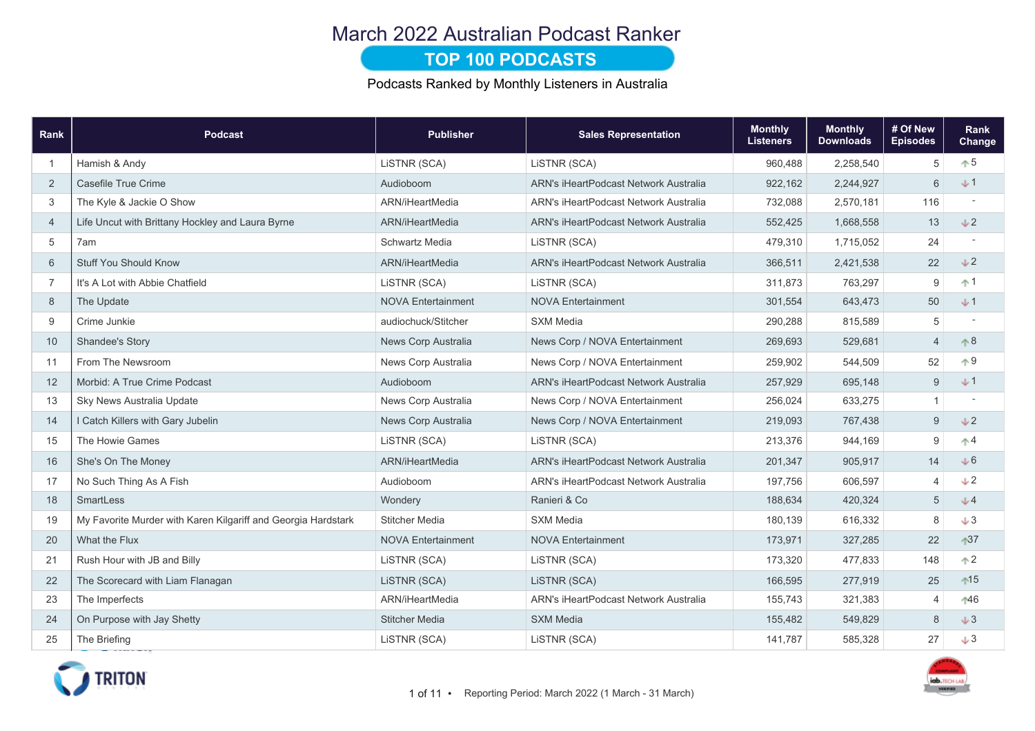### March 2022 Australian Podcast Ranker

#### **TOP 100 PODCASTS**

Podcasts Ranked by Monthly Listeners in Australia

| Rank           | <b>Podcast</b>                                                | <b>Publisher</b>          | <b>Sales Representation</b>                  | <b>Monthly</b><br><b>Listeners</b> | <b>Monthly</b><br><b>Downloads</b> | # Of New<br><b>Episodes</b> | Rank<br>Change           |
|----------------|---------------------------------------------------------------|---------------------------|----------------------------------------------|------------------------------------|------------------------------------|-----------------------------|--------------------------|
| -1             | Hamish & Andy                                                 | LISTNR (SCA)              | LiSTNR (SCA)                                 | 960,488                            | 2,258,540                          | 5                           | $+5$                     |
| 2              | Casefile True Crime                                           | Audioboom                 | <b>ARN's iHeartPodcast Network Australia</b> | 922,162                            | 2,244,927                          | 6                           | $+1$                     |
| 3              | The Kyle & Jackie O Show                                      | ARN/iHeartMedia           | <b>ARN's iHeartPodcast Network Australia</b> | 732,088                            | 2,570,181                          | 116                         |                          |
| $\overline{4}$ | Life Uncut with Brittany Hockley and Laura Byrne              | ARN/iHeartMedia           | ARN's iHeartPodcast Network Australia        | 552,425                            | 1,668,558                          | 13                          | J2                       |
| 5              | 7am                                                           | Schwartz Media            | LiSTNR (SCA)                                 | 479,310                            | 1,715,052                          | 24                          |                          |
| 6              | <b>Stuff You Should Know</b>                                  | ARN/iHeartMedia           | <b>ARN's iHeartPodcast Network Australia</b> | 366,511                            | 2,421,538                          | 22                          | J2                       |
| $\overline{7}$ | It's A Lot with Abbie Chatfield                               | LISTNR (SCA)              | LISTNR (SCA)                                 | 311,873                            | 763,297                            | 9                           | $+1$                     |
| 8              | The Update                                                    | <b>NOVA Entertainment</b> | <b>NOVA Entertainment</b>                    | 301,554                            | 643,473                            | 50                          | $+1$                     |
| 9              | Crime Junkie                                                  | audiochuck/Stitcher       | <b>SXM Media</b>                             | 290,288                            | 815,589                            | 5                           | $\overline{\phantom{a}}$ |
| 10             | Shandee's Story                                               | News Corp Australia       | News Corp / NOVA Entertainment               | 269,693                            | 529,681                            | $\overline{4}$              | $\triangle$ 8            |
| 11             | From The Newsroom                                             | News Corp Australia       | News Corp / NOVA Entertainment               | 259,902                            | 544,509                            | 52                          | $\uparrow 9$             |
| 12             | Morbid: A True Crime Podcast                                  | Audioboom                 | <b>ARN's iHeartPodcast Network Australia</b> | 257,929                            | 695,148                            | $9\,$                       | $+1$                     |
| 13             | Sky News Australia Update                                     | News Corp Australia       | News Corp / NOVA Entertainment               | 256,024                            | 633,275                            | $\mathbf{1}$                |                          |
| 14             | I Catch Killers with Gary Jubelin                             | News Corp Australia       | News Corp / NOVA Entertainment               | 219,093                            | 767,438                            | 9                           | J2                       |
| 15             | The Howie Games                                               | LiSTNR (SCA)              | LiSTNR (SCA)                                 | 213,376                            | 944,169                            | 9                           | $\uparrow$ 4             |
| 16             | She's On The Money                                            | ARN/iHeartMedia           | ARN's iHeartPodcast Network Australia        | 201,347                            | 905,917                            | 14                          | J6                       |
| 17             | No Such Thing As A Fish                                       | Audioboom                 | ARN's iHeartPodcast Network Australia        | 197,756                            | 606,597                            | $\overline{4}$              | $\downarrow$ 2           |
| 18             | SmartLess                                                     | Wondery                   | Ranieri & Co                                 | 188,634                            | 420,324                            | 5                           | $J$ 4                    |
| 19             | My Favorite Murder with Karen Kilgariff and Georgia Hardstark | <b>Stitcher Media</b>     | <b>SXM Media</b>                             | 180,139                            | 616,332                            | 8                           | $+3$                     |
| 20             | What the Flux                                                 | <b>NOVA Entertainment</b> | <b>NOVA Entertainment</b>                    | 173,971                            | 327,285                            | 22                          | $137$                    |
| 21             | Rush Hour with JB and Billy                                   | LISTNR (SCA)              | LiSTNR (SCA)                                 | 173,320                            | 477,833                            | 148                         | $\uparrow$ 2             |
| 22             | The Scorecard with Liam Flanagan                              | LISTNR (SCA)              | LISTNR (SCA)                                 | 166,595                            | 277,919                            | 25                          | $15$                     |
| 23             | The Imperfects                                                | ARN/iHeartMedia           | ARN's iHeartPodcast Network Australia        | 155,743                            | 321,383                            | 4                           | 146                      |
| 24             | On Purpose with Jay Shetty                                    | <b>Stitcher Media</b>     | <b>SXM Media</b>                             | 155,482                            | 549,829                            | 8                           | $+3$                     |
| 25             | The Briefing                                                  | LiSTNR (SCA)              | LiSTNR (SCA)                                 | 141,787                            | 585,328                            | 27                          | $+3$                     |



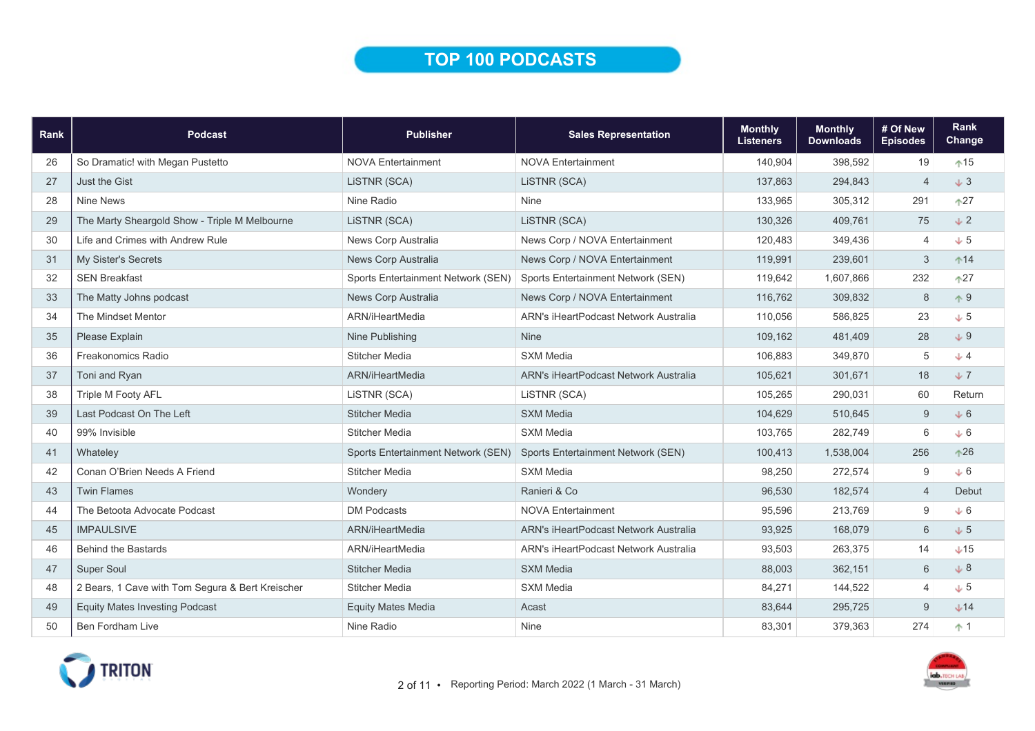## TOP 100 PODCASTS

| Rank | <b>Podcast</b>                                   | <b>Publisher</b>                   | <b>Sales Representation</b>           | <b>Monthly</b><br><b>Listeners</b> | <b>Monthly</b><br><b>Downloads</b> | # Of New<br><b>Episodes</b> | Rank<br>Change |
|------|--------------------------------------------------|------------------------------------|---------------------------------------|------------------------------------|------------------------------------|-----------------------------|----------------|
| 26   | So Dramatic! with Megan Pustetto                 | <b>NOVA Entertainment</b>          | <b>NOVA Entertainment</b>             | 140,904                            | 398,592                            | 19                          | $+15$          |
| 27   | <b>Just the Gist</b>                             | LISTNR (SCA)                       | LISTNR (SCA)                          | 137,863                            | 294,843                            | $\overline{4}$              | $+3$           |
| 28   | <b>Nine News</b>                                 | Nine Radio                         | Nine                                  | 133,965                            | 305,312                            | 291                         | $\uparrow$ 27  |
| 29   | The Marty Sheargold Show - Triple M Melbourne    | LISTNR (SCA)                       | LISTNR (SCA)                          | 130,326                            | 409,761                            | 75                          | $\sqrt{2}$     |
| 30   | Life and Crimes with Andrew Rule                 | News Corp Australia                | News Corp / NOVA Entertainment        | 120,483                            | 349,436                            | $\overline{4}$              | $+5$           |
| 31   | <b>My Sister's Secrets</b>                       | News Corp Australia                | News Corp / NOVA Entertainment        | 119,991                            | 239,601                            | 3                           | $^{\text{14}}$ |
| 32   | <b>SEN Breakfast</b>                             | Sports Entertainment Network (SEN) | Sports Entertainment Network (SEN)    | 119,642                            | 1,607,866                          | 232                         | $+27$          |
| 33   | The Matty Johns podcast                          | News Corp Australia                | News Corp / NOVA Entertainment        | 116,762                            | 309,832                            | 8                           | $\uparrow 9$   |
| 34   | The Mindset Mentor                               | ARN/iHeartMedia                    | ARN's iHeartPodcast Network Australia | 110,056                            | 586,825                            | 23                          | $+5$           |
| 35   | Please Explain                                   | Nine Publishing                    | <b>Nine</b>                           | 109,162                            | 481,409                            | 28                          | $+9$           |
| 36   | Freakonomics Radio                               | <b>Stitcher Media</b>              | <b>SXM Media</b>                      | 106,883                            | 349,870                            | 5                           | $+4$           |
| 37   | Toni and Ryan                                    | ARN/iHeartMedia                    | ARN's iHeartPodcast Network Australia | 105,621                            | 301,671                            | 18                          | $+7$           |
| 38   | Triple M Footy AFL                               | LISTNR (SCA)                       | LISTNR (SCA)                          | 105,265                            | 290,031                            | 60                          | Return         |
| 39   | Last Podcast On The Left                         | <b>Stitcher Media</b>              | <b>SXM Media</b>                      | 104,629                            | 510,645                            | 9                           | $+6$           |
| 40   | 99% Invisible                                    | <b>Stitcher Media</b>              | <b>SXM Media</b>                      | 103,765                            | 282,749                            | 6                           | $+6$           |
| 41   | Whateley                                         | Sports Entertainment Network (SEN) | Sports Entertainment Network (SEN)    | 100,413                            | 1,538,004                          | 256                         | $+26$          |
| 42   | Conan O'Brien Needs A Friend                     | <b>Stitcher Media</b>              | <b>SXM Media</b>                      | 98,250                             | 272,574                            | 9                           | $+6$           |
| 43   | <b>Twin Flames</b>                               | Wondery                            | Ranieri & Co                          | 96,530                             | 182,574                            | $\overline{4}$              | Debut          |
| 44   | The Betoota Advocate Podcast                     | <b>DM Podcasts</b>                 | <b>NOVA Entertainment</b>             | 95,596                             | 213,769                            | 9                           | $+6$           |
| 45   | <b>IMPAULSIVE</b>                                | ARN/iHeartMedia                    | ARN's iHeartPodcast Network Australia | 93,925                             | 168,079                            | $6\,$                       | $+5$           |
| 46   | <b>Behind the Bastards</b>                       | ARN/iHeartMedia                    | ARN's iHeartPodcast Network Australia | 93,503                             | 263,375                            | 14                          | $+15$          |
| 47   | <b>Super Soul</b>                                | <b>Stitcher Media</b>              | <b>SXM Media</b>                      | 88,003                             | 362,151                            | 6                           | $\downarrow 8$ |
| 48   | 2 Bears, 1 Cave with Tom Segura & Bert Kreischer | <b>Stitcher Media</b>              | <b>SXM Media</b>                      | 84,271                             | 144,522                            | $\overline{4}$              | $+5$           |
| 49   | <b>Equity Mates Investing Podcast</b>            | <b>Equity Mates Media</b>          | Acast                                 | 83,644                             | 295,725                            | 9                           | $+14$          |
| 50   | <b>Ben Fordham Live</b>                          | Nine Radio                         | Nine                                  | 83,301                             | 379,363                            | 274                         | $+1$           |

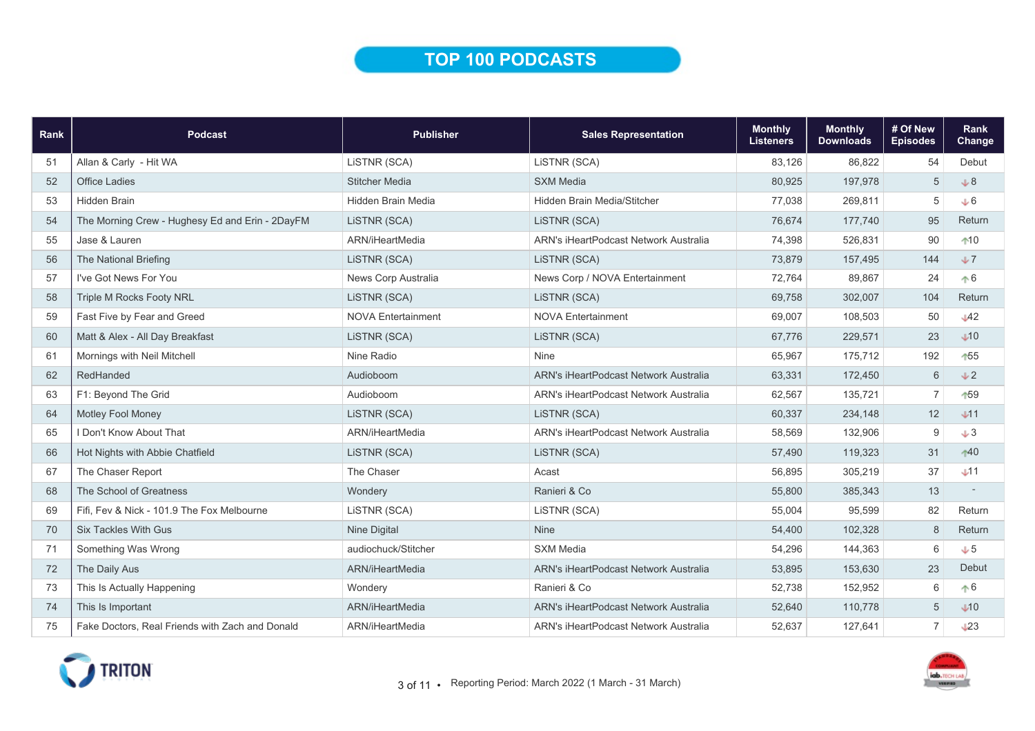## TOP 100 PODCASTS

| Rank | Podcast                                         | <b>Publisher</b>          | <b>Sales Representation</b>                  | <b>Monthly</b><br><b>Listeners</b> | <b>Monthly</b><br><b>Downloads</b> | # Of New<br><b>Episodes</b> | <b>Rank</b><br><b>Change</b> |
|------|-------------------------------------------------|---------------------------|----------------------------------------------|------------------------------------|------------------------------------|-----------------------------|------------------------------|
| 51   | Allan & Carly - Hit WA                          | LISTNR (SCA)              | LISTNR (SCA)                                 | 83,126                             | 86,822                             | 54                          | Debut                        |
| 52   | <b>Office Ladies</b>                            | <b>Stitcher Media</b>     | <b>SXM Media</b>                             | 80,925                             | 197,978                            | 5                           | .8                           |
| 53   | <b>Hidden Brain</b>                             | Hidden Brain Media        | Hidden Brain Media/Stitcher                  | 77,038                             | 269,811                            | $\sqrt{5}$                  | $+6$                         |
| 54   | The Morning Crew - Hughesy Ed and Erin - 2DayFM | LISTNR (SCA)              | LISTNR (SCA)                                 | 76,674                             | 177,740                            | 95                          | Return                       |
| 55   | Jase & Lauren                                   | ARN/iHeartMedia           | ARN's iHeartPodcast Network Australia        | 74,398                             | 526,831                            | 90                          | $10$                         |
| 56   | The National Briefing                           | LiSTNR (SCA)              | LISTNR (SCA)                                 | 73,879                             | 157,495                            | 144                         | $+7$                         |
| 57   | I've Got News For You                           | News Corp Australia       | News Corp / NOVA Entertainment               | 72,764                             | 89,867                             | 24                          | $\uparrow 6$                 |
| 58   | Triple M Rocks Footy NRL                        | LISTNR (SCA)              | LISTNR (SCA)                                 | 69,758                             | 302,007                            | 104                         | Return                       |
| 59   | Fast Five by Fear and Greed                     | <b>NOVA Entertainment</b> | <b>NOVA Entertainment</b>                    | 69,007                             | 108,503                            | 50                          | $\mathcal{A}2$               |
| 60   | Matt & Alex - All Day Breakfast                 | LiSTNR (SCA)              | LISTNR (SCA)                                 | 67,776                             | 229,571                            | 23                          | $\bigcup$ 10                 |
| 61   | Mornings with Neil Mitchell                     | Nine Radio                | <b>Nine</b>                                  | 65,967                             | 175,712                            | 192                         | 155                          |
| 62   | RedHanded                                       | Audioboom                 | ARN's iHeartPodcast Network Australia        | 63,331                             | 172,450                            | 6                           | $+2$                         |
| 63   | F1: Beyond The Grid                             | Audioboom                 | <b>ARN's iHeartPodcast Network Australia</b> | 62,567                             | 135,721                            | $\overline{7}$              | 159                          |
| 64   | Motley Fool Money                               | LiSTNR (SCA)              | LISTNR (SCA)                                 | 60,337                             | 234,148                            | 12                          | J11                          |
| 65   | I Don't Know About That                         | ARN/iHeartMedia           | <b>ARN's iHeartPodcast Network Australia</b> | 58,569                             | 132,906                            | 9                           | J3                           |
| 66   | Hot Nights with Abbie Chatfield                 | LISTNR (SCA)              | LISTNR (SCA)                                 | 57,490                             | 119,323                            | 31                          | $+40$                        |
| 67   | The Chaser Report                               | The Chaser                | Acast                                        | 56,895                             | 305,219                            | 37                          | J11                          |
| 68   | The School of Greatness                         | Wondery                   | Ranieri & Co                                 | 55,800                             | 385,343                            | 13                          |                              |
| 69   | Fifi, Fev & Nick - 101.9 The Fox Melbourne      | LISTNR (SCA)              | LISTNR (SCA)                                 | 55,004                             | 95,599                             | 82                          | Return                       |
| 70   | <b>Six Tackles With Gus</b>                     | Nine Digital              | <b>Nine</b>                                  | 54,400                             | 102,328                            | 8                           | Return                       |
| 71   | Something Was Wrong                             | audiochuck/Stitcher       | <b>SXM Media</b>                             | 54,296                             | 144,363                            | 6                           | J <sub>5</sub>               |
| 72   | The Daily Aus                                   | ARN/iHeartMedia           | ARN's iHeartPodcast Network Australia        | 53.895                             | 153,630                            | 23                          | Debut                        |
| 73   | This Is Actually Happening                      | Wondery                   | Ranieri & Co                                 | 52,738                             | 152,952                            | 6                           | $\uparrow 6$                 |
| 74   | This Is Important                               | ARN/iHeartMedia           | ARN's iHeartPodcast Network Australia        | 52,640                             | 110,778                            | 5                           | $\sqrt{10}$                  |
| 75   | Fake Doctors, Real Friends with Zach and Donald | ARN/iHeartMedia           | ARN's iHeartPodcast Network Australia        | 52,637                             | 127,641                            | $\overline{7}$              | $\downarrow$ 23              |

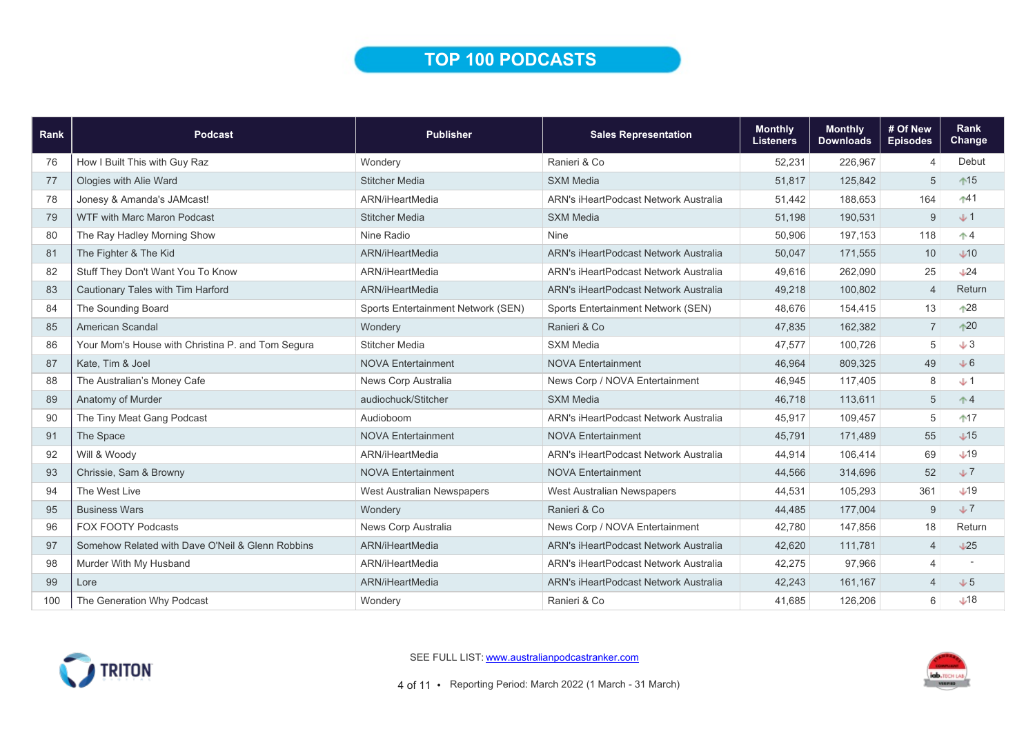## TOP 100 PODCASTS

| Rank | <b>Podcast</b>                                    | <b>Publisher</b>                   | <b>Sales Representation</b>                  | <b>Monthly</b><br><b>Listeners</b> | <b>Monthly</b><br><b>Downloads</b> | # Of New<br><b>Episodes</b> | <b>Rank</b><br>Change    |
|------|---------------------------------------------------|------------------------------------|----------------------------------------------|------------------------------------|------------------------------------|-----------------------------|--------------------------|
| 76   | How I Built This with Guy Raz                     | Wondery                            | Ranieri & Co                                 | 52,231                             | 226,967                            | $\overline{4}$              | Debut                    |
| 77   | Ologies with Alie Ward                            | <b>Stitcher Media</b>              | <b>SXM Media</b>                             | 51,817                             | 125,842                            | 5                           | $+15$                    |
| 78   | Jonesy & Amanda's JAMcast!                        | ARN/iHeartMedia                    | ARN's iHeartPodcast Network Australia        | 51,442                             | 188,653                            | 164                         | $+41$                    |
| 79   | <b>WTF with Marc Maron Podcast</b>                | <b>Stitcher Media</b>              | <b>SXM Media</b>                             | 51,198                             | 190,531                            | $9\,$                       | $+1$                     |
| 80   | The Ray Hadley Morning Show                       | Nine Radio                         | <b>Nine</b>                                  | 50,906                             | 197,153                            | 118                         | $\uparrow$ 4             |
| 81   | The Fighter & The Kid                             | ARN/iHeartMedia                    | ARN's iHeartPodcast Network Australia        | 50,047                             | 171,555                            | 10                          | $\bigcup$ 10             |
| 82   | Stuff They Don't Want You To Know                 | ARN/iHeartMedia                    | ARN's iHeartPodcast Network Australia        | 49,616                             | 262,090                            | 25                          | $\bigcup_{k=1}^{\infty}$ |
| 83   | Cautionary Tales with Tim Harford                 | ARN/iHeartMedia                    | <b>ARN's iHeartPodcast Network Australia</b> | 49,218                             | 100,802                            | $\overline{4}$              | Return                   |
| 84   | The Sounding Board                                | Sports Entertainment Network (SEN) | Sports Entertainment Network (SEN)           | 48,676                             | 154,415                            | 13                          | $*28$                    |
| 85   | American Scandal                                  | Wondery                            | Ranieri & Co                                 | 47,835                             | 162,382                            | $\overline{7}$              | $+20$                    |
| 86   | Your Mom's House with Christina P. and Tom Segura | <b>Stitcher Media</b>              | <b>SXM Media</b>                             | 47,577                             | 100,726                            | 5                           | $+3$                     |
| 87   | Kate, Tim & Joel                                  | <b>NOVA Entertainment</b>          | <b>NOVA Entertainment</b>                    | 46,964                             | 809,325                            | 49                          | J6                       |
| 88   | The Australian's Money Cafe                       | News Corp Australia                | News Corp / NOVA Entertainment               | 46,945                             | 117,405                            | 8                           | $+1$                     |
| 89   | Anatomy of Murder                                 | audiochuck/Stitcher                | <b>SXM Media</b>                             | 46,718                             | 113,611                            | 5                           | $^*4$                    |
| 90   | The Tiny Meat Gang Podcast                        | Audioboom                          | ARN's iHeartPodcast Network Australia        | 45,917                             | 109.457                            | 5                           | $17$                     |
| 91   | The Space                                         | <b>NOVA Entertainment</b>          | <b>NOVA Entertainment</b>                    | 45,791                             | 171,489                            | 55                          | $\sqrt{15}$              |
| 92   | Will & Woody                                      | ARN/iHeartMedia                    | ARN's iHeartPodcast Network Australia        | 44,914                             | 106,414                            | 69                          | $\downarrow$ 19          |
| 93   | Chrissie, Sam & Browny                            | <b>NOVA Entertainment</b>          | <b>NOVA Entertainment</b>                    | 44,566                             | 314,696                            | 52                          | J                        |
| 94   | The West Live                                     | West Australian Newspapers         | West Australian Newspapers                   | 44,531                             | 105,293                            | 361                         | $+19$                    |
| 95   | <b>Business Wars</b>                              | Wondery                            | Ranieri & Co                                 | 44,485                             | 177,004                            | 9                           | J                        |
| 96   | <b>FOX FOOTY Podcasts</b>                         | News Corp Australia                | News Corp / NOVA Entertainment               | 42,780                             | 147,856                            | 18                          | Return                   |
| 97   | Somehow Related with Dave O'Neil & Glenn Robbins  | ARN/iHeartMedia                    | ARN's iHeartPodcast Network Australia        | 42,620                             | 111,781                            | $\overline{4}$              | $\sqrt{25}$              |
| 98   | Murder With My Husband                            | ARN/iHeartMedia                    | ARN's iHeartPodcast Network Australia        | 42,275                             | 97,966                             | 4                           |                          |
| 99   | Lore                                              | ARN/iHeartMedia                    | ARN's iHeartPodcast Network Australia        | 42,243                             | 161,167                            | $\overline{\mathcal{A}}$    | $+5$                     |
| 100  | The Generation Why Podcast                        | Wondery                            | Ranieri & Co                                 | 41,685                             | 126,206                            | 6                           | $\bigcup$ 18             |



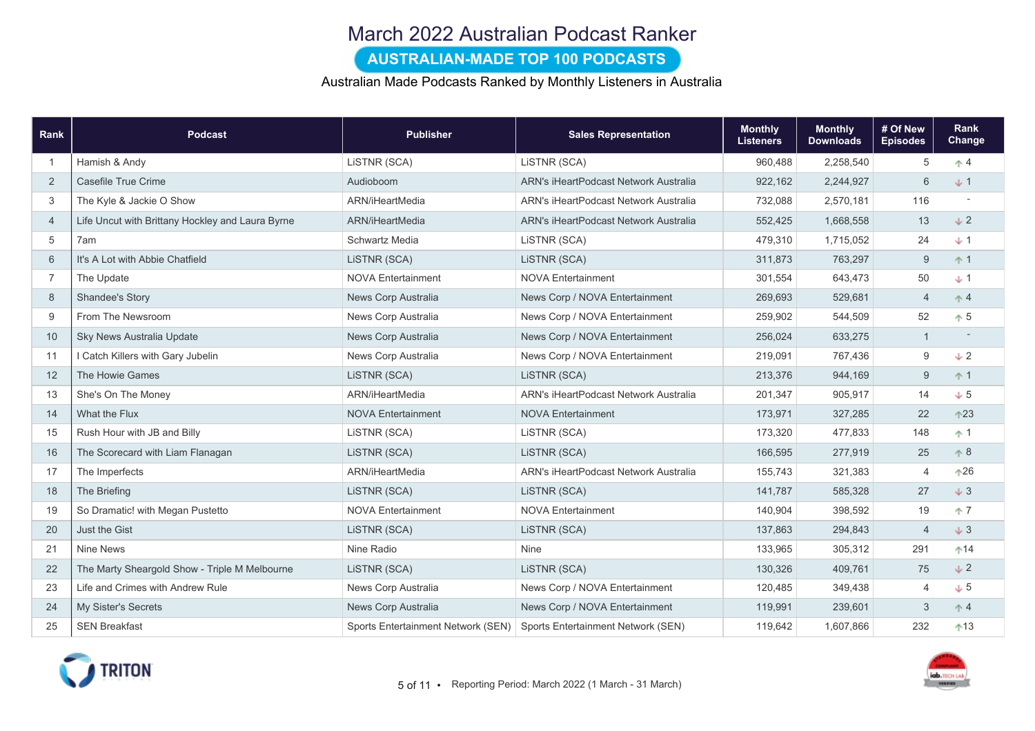### March 2022 Australian Podcast Ranker

#### AUSTRALIAN-MADE TOP 100 PODCASTS

#### Australian Made Podcasts Ranked by Monthly Listeners in Australia

| Rank           | <b>Podcast</b>                                   | <b>Publisher</b>                   | <b>Sales Representation</b>           | <b>Monthly</b><br><b>Listeners</b> | <b>Monthly</b><br><b>Downloads</b> | # Of New<br><b>Episodes</b> | <b>Rank</b><br>Change |
|----------------|--------------------------------------------------|------------------------------------|---------------------------------------|------------------------------------|------------------------------------|-----------------------------|-----------------------|
| $\overline{1}$ | Hamish & Andy                                    | LISTNR (SCA)                       | LISTNR (SCA)                          | 960,488                            | 2,258,540                          | 5                           | $\uparrow$ 4          |
| 2              | Casefile True Crime                              | Audioboom                          | ARN's iHeartPodcast Network Australia | 922,162                            | 2,244,927                          | 6                           | $+1$                  |
| 3              | The Kyle & Jackie O Show                         | ARN/iHeartMedia                    | ARN's iHeartPodcast Network Australia | 732,088                            | 2,570,181                          | 116                         |                       |
| $\overline{4}$ | Life Uncut with Brittany Hockley and Laura Byrne | ARN/iHeartMedia                    | ARN's iHeartPodcast Network Australia | 552,425                            | 1,668,558                          | 13                          | $\sqrt{2}$            |
| 5              | 7am                                              | Schwartz Media                     | LiSTNR (SCA)                          | 479,310                            | 1,715,052                          | 24                          | $+1$                  |
| 6              | It's A Lot with Abbie Chatfield                  | LISTNR (SCA)                       | LISTNR (SCA)                          | 311,873                            | 763,297                            | 9                           | $+1$                  |
| $\overline{7}$ | The Update                                       | <b>NOVA Entertainment</b>          | <b>NOVA Entertainment</b>             | 301,554                            | 643,473                            | 50                          | $+1$                  |
| 8              | <b>Shandee's Story</b>                           | News Corp Australia                | News Corp / NOVA Entertainment        | 269,693                            | 529,681                            | $\overline{4}$              | $\uparrow$ 4          |
| 9              | From The Newsroom                                | News Corp Australia                | News Corp / NOVA Entertainment        | 259,902                            | 544,509                            | 52                          | $\uparrow$ 5          |
| 10             | Sky News Australia Update                        | News Corp Australia                | News Corp / NOVA Entertainment        | 256,024                            | 633,275                            | $\overline{1}$              |                       |
| 11             | I Catch Killers with Gary Jubelin                | News Corp Australia                | News Corp / NOVA Entertainment        | 219,091                            | 767,436                            | $9$                         | $\sqrt{2}$            |
| 12             | The Howie Games                                  | LISTNR (SCA)                       | LISTNR (SCA)                          | 213,376                            | 944,169                            | 9                           | $+1$                  |
| 13             | She's On The Money                               | ARN/iHeartMedia                    | ARN's iHeartPodcast Network Australia | 201,347                            | 905,917                            | 14                          | $+5$                  |
| 14             | What the Flux                                    | <b>NOVA Entertainment</b>          | <b>NOVA Entertainment</b>             | 173,971                            | 327,285                            | 22                          | $^{\circ}23$          |
| 15             | Rush Hour with JB and Billy                      | LISTNR (SCA)                       | LISTNR (SCA)                          | 173,320                            | 477,833                            | 148                         | $+1$                  |
| 16             | The Scorecard with Liam Flanagan                 | LISTNR (SCA)                       | LISTNR (SCA)                          | 166,595                            | 277,919                            | 25                          | $\uparrow 8$          |
| 17             | The Imperfects                                   | ARN/iHeartMedia                    | ARN's iHeartPodcast Network Australia | 155,743                            | 321,383                            | $\overline{4}$              | $+26$                 |
| 18             | The Briefing                                     | LISTNR (SCA)                       | LISTNR (SCA)                          | 141,787                            | 585,328                            | 27                          | $+3$                  |
| 19             | So Dramatic! with Megan Pustetto                 | <b>NOVA Entertainment</b>          | <b>NOVA Entertainment</b>             | 140,904                            | 398,592                            | 19                          | $+7$                  |
| 20             | Just the Gist                                    | LISTNR (SCA)                       | LISTNR (SCA)                          | 137,863                            | 294,843                            | $\overline{4}$              | $+3$                  |
| 21             | <b>Nine News</b>                                 | Nine Radio                         | Nine                                  | 133,965                            | 305,312                            | 291                         | $^{\text{14}}$        |
| 22             | The Marty Sheargold Show - Triple M Melbourne    | LISTNR (SCA)                       | LISTNR (SCA)                          | 130,326                            | 409,761                            | 75                          | $\sqrt{2}$            |
| 23             | Life and Crimes with Andrew Rule                 | News Corp Australia                | News Corp / NOVA Entertainment        | 120,485                            | 349,438                            | $\overline{4}$              | $+5$                  |
| 24             | My Sister's Secrets                              | News Corp Australia                | News Corp / NOVA Entertainment        | 119,991                            | 239,601                            | $\mathbf{3}$                | $\uparrow$ 4          |
| 25             | <b>SEN Breakfast</b>                             | Sports Entertainment Network (SEN) | Sports Entertainment Network (SEN)    | 119,642                            | 1,607,866                          | 232                         | $+13$                 |

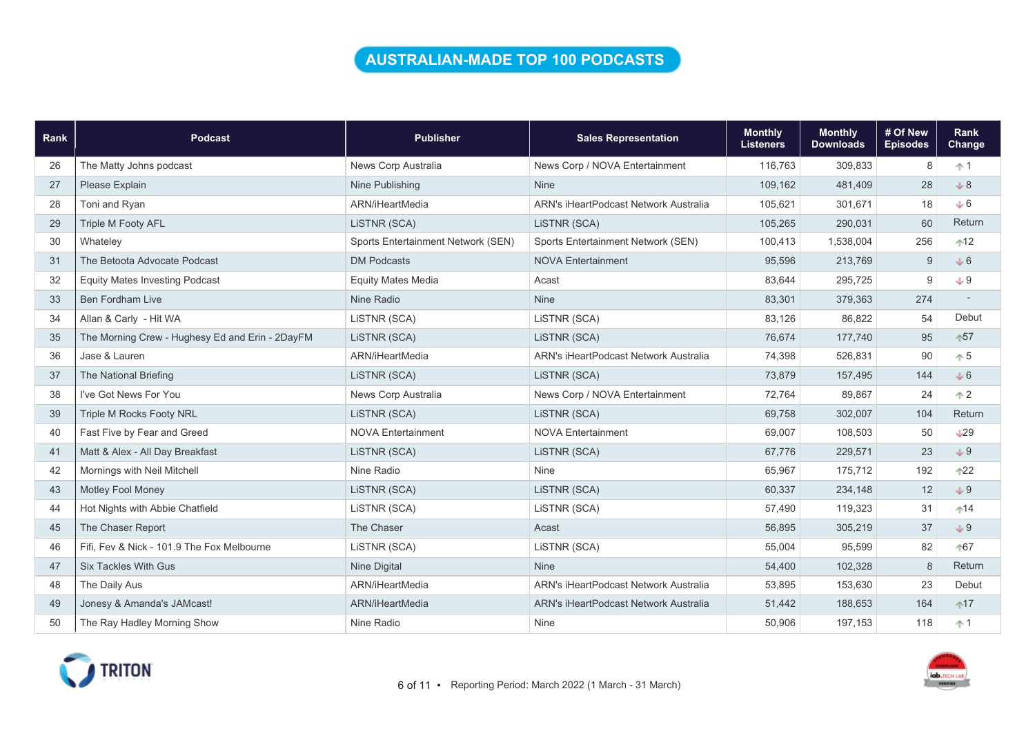### AUSTRALIAN-MADE TOP 100 PODCASTS

| Rank | Podcast                                         | <b>Publisher</b>                   | <b>Sales Representation</b>           | <b>Monthly</b><br><b>Listeners</b> | <b>Monthly</b><br><b>Downloads</b> | # Of New<br><b>Episodes</b> | Rank<br>Change  |
|------|-------------------------------------------------|------------------------------------|---------------------------------------|------------------------------------|------------------------------------|-----------------------------|-----------------|
| 26   | The Matty Johns podcast                         | News Corp Australia                | News Corp / NOVA Entertainment        | 116.763                            | 309,833                            | 8                           | $+1$            |
| 27   | Please Explain                                  | Nine Publishing                    | <b>Nine</b>                           | 109,162                            | 481,409                            | 28                          | $+8$            |
| 28   | Toni and Ryan                                   | ARN/iHeartMedia                    | ARN's iHeartPodcast Network Australia | 105,621                            | 301,671                            | 18                          | $+6$            |
| 29   | <b>Triple M Footy AFL</b>                       | LISTNR (SCA)                       | LISTNR (SCA)                          | 105,265                            | 290,031                            | 60                          | Return          |
| 30   | Whateley                                        | Sports Entertainment Network (SEN) | Sports Entertainment Network (SEN)    | 100,413                            | 1,538,004                          | 256                         | $12$            |
| 31   | The Betoota Advocate Podcast                    | <b>DM Podcasts</b>                 | <b>NOVA Entertainment</b>             | 95,596                             | 213,769                            | $\overline{9}$              | $+6$            |
| 32   | <b>Equity Mates Investing Podcast</b>           | <b>Equity Mates Media</b>          | Acast                                 | 83,644                             | 295,725                            | 9                           | $+9$            |
| 33   | <b>Ben Fordham Live</b>                         | Nine Radio                         | <b>Nine</b>                           | 83,301                             | 379,363                            | 274                         |                 |
| 34   | Allan & Carly - Hit WA                          | LISTNR (SCA)                       | LISTNR (SCA)                          | 83,126                             | 86,822                             | 54                          | Debut           |
| 35   | The Morning Crew - Hughesy Ed and Erin - 2DayFM | LISTNR (SCA)                       | LISTNR (SCA)                          | 76,674                             | 177,740                            | 95                          | $+57$           |
| 36   | Jase & Lauren                                   | ARN/iHeartMedia                    | ARN's iHeartPodcast Network Australia | 74,398                             | 526,831                            | 90                          | $\uparrow 5$    |
| 37   | The National Briefing                           | LISTNR (SCA)                       | LISTNR (SCA)                          | 73,879                             | 157,495                            | 144                         | $+6$            |
| 38   | I've Got News For You                           | News Corp Australia                | News Corp / NOVA Entertainment        | 72,764                             | 89,867                             | 24                          | $\uparrow$ 2    |
| 39   | <b>Triple M Rocks Footy NRL</b>                 | LISTNR (SCA)                       | LISTNR (SCA)                          | 69,758                             | 302,007                            | 104                         | Return          |
| 40   | Fast Five by Fear and Greed                     | <b>NOVA Entertainment</b>          | <b>NOVA Entertainment</b>             | 69,007                             | 108,503                            | 50                          | $\downarrow$ 29 |
| 41   | Matt & Alex - All Day Breakfast                 | LISTNR (SCA)                       | LISTNR (SCA)                          | 67,776                             | 229,571                            | 23                          | $+9$            |
| 42   | Mornings with Neil Mitchell                     | Nine Radio                         | Nine                                  | 65,967                             | 175,712                            | 192                         | $+22$           |
| 43   | Motley Fool Money                               | LISTNR (SCA)                       | LiSTNR (SCA)                          | 60,337                             | 234,148                            | 12                          | $+9$            |
| 44   | Hot Nights with Abbie Chatfield                 | LiSTNR (SCA)                       | LiSTNR (SCA)                          | 57,490                             | 119,323                            | 31                          | $14$            |
| 45   | The Chaser Report                               | The Chaser                         | Acast                                 | 56,895                             | 305,219                            | 37                          | $+9$            |
| 46   | Fifi, Fev & Nick - 101.9 The Fox Melbourne      | LISTNR (SCA)                       | LISTNR (SCA)                          | 55,004                             | 95,599                             | 82                          | 167             |
| 47   | <b>Six Tackles With Gus</b>                     | <b>Nine Digital</b>                | <b>Nine</b>                           | 54,400                             | 102,328                            | 8                           | Return          |
| 48   | The Daily Aus                                   | ARN/iHeartMedia                    | ARN's iHeartPodcast Network Australia | 53,895                             | 153,630                            | 23                          | Debut           |
| 49   | Jonesy & Amanda's JAMcast!                      | ARN/iHeartMedia                    | ARN's iHeartPodcast Network Australia | 51,442                             | 188,653                            | 164                         | $17$            |
| 50   | The Ray Hadley Morning Show                     | Nine Radio                         | <b>Nine</b>                           | 50.906                             | 197,153                            | 118                         | $+1$            |



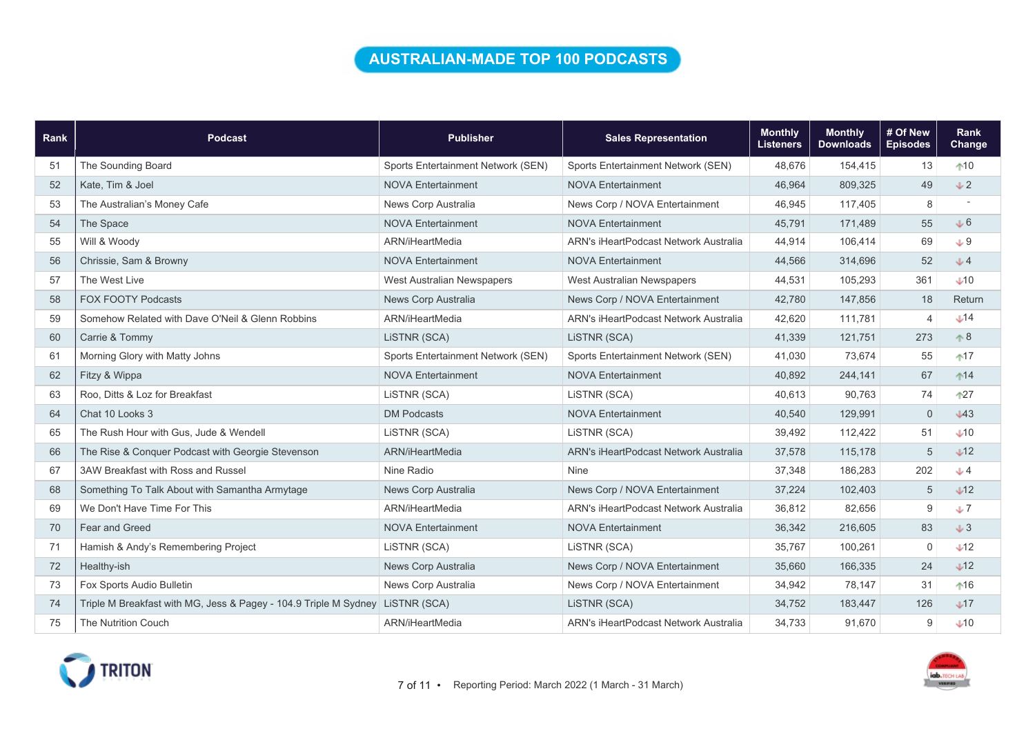### AUSTRALIAN-MADE TOP 100 PODCASTS

| Rank | <b>Podcast</b>                                                   | <b>Publisher</b>                   | <b>Sales Representation</b>                  | <b>Monthly</b><br><b>Listeners</b> | <b>Monthly</b><br><b>Downloads</b> | # Of New<br><b>Episodes</b> | Rank<br>Change |
|------|------------------------------------------------------------------|------------------------------------|----------------------------------------------|------------------------------------|------------------------------------|-----------------------------|----------------|
| 51   | The Sounding Board                                               | Sports Entertainment Network (SEN) | Sports Entertainment Network (SEN)           | 48,676                             | 154,415                            | 13                          | $+10$          |
| 52   | Kate, Tim & Joel                                                 | <b>NOVA Entertainment</b>          | <b>NOVA Entertainment</b>                    | 46,964                             | 809,325                            | 49                          | $+2$           |
| 53   | The Australian's Money Cafe                                      | News Corp Australia                | News Corp / NOVA Entertainment               | 46,945                             | 117,405                            | 8                           |                |
| 54   | The Space                                                        | <b>NOVA Entertainment</b>          | <b>NOVA Entertainment</b>                    | 45,791                             | 171,489                            | 55                          | J6             |
| 55   | Will & Woody                                                     | ARN/iHeartMedia                    | <b>ARN's iHeartPodcast Network Australia</b> | 44,914                             | 106,414                            | 69                          | $+9$           |
| 56   | Chrissie, Sam & Browny                                           | <b>NOVA Entertainment</b>          | <b>NOVA Entertainment</b>                    | 44,566                             | 314,696                            | 52                          | $+4$           |
| 57   | The West Live                                                    | West Australian Newspapers         | West Australian Newspapers                   | 44,531                             | 105,293                            | 361                         | $+10$          |
| 58   | <b>FOX FOOTY Podcasts</b>                                        | News Corp Australia                | News Corp / NOVA Entertainment               | 42,780                             | 147,856                            | 18                          | Return         |
| 59   | Somehow Related with Dave O'Neil & Glenn Robbins                 | ARN/iHeartMedia                    | ARN's iHeartPodcast Network Australia        | 42,620                             | 111,781                            | $\overline{4}$              | $+14$          |
| 60   | Carrie & Tommy                                                   | LISTNR (SCA)                       | LiSTNR (SCA)                                 | 41,339                             | 121,751                            | 273                         | $\uparrow 8$   |
| 61   | Morning Glory with Matty Johns                                   | Sports Entertainment Network (SEN) | Sports Entertainment Network (SEN)           | 41,030                             | 73,674                             | 55                          | $+17$          |
| 62   | Fitzy & Wippa                                                    | <b>NOVA Entertainment</b>          | <b>NOVA Entertainment</b>                    | 40,892                             | 244,141                            | 67                          | $14$           |
| 63   | Roo. Ditts & Loz for Breakfast                                   | LISTNR (SCA)                       | LISTNR (SCA)                                 | 40.613                             | 90,763                             | 74                          | $+27$          |
| 64   | Chat 10 Looks 3                                                  | <b>DM Podcasts</b>                 | <b>NOVA Entertainment</b>                    | 40,540                             | 129,991                            | $\mathbf{0}$                | $\sqrt{43}$    |
| 65   | The Rush Hour with Gus, Jude & Wendell                           | LiSTNR (SCA)                       | LiSTNR (SCA)                                 | 39,492                             | 112,422                            | 51                          | $+10$          |
| 66   | The Rise & Conquer Podcast with Georgie Stevenson                | ARN/iHeartMedia                    | ARN's iHeartPodcast Network Australia        | 37,578                             | 115,178                            | $\sqrt{5}$                  | $+12$          |
| 67   | 3AW Breakfast with Ross and Russel                               | Nine Radio                         | <b>Nine</b>                                  | 37,348                             | 186,283                            | 202                         | $J$ 4          |
| 68   | Something To Talk About with Samantha Armytage                   | News Corp Australia                | News Corp / NOVA Entertainment               | 37,224                             | 102,403                            | $\sqrt{5}$                  | $\sqrt{12}$    |
| 69   | We Don't Have Time For This                                      | ARN/iHeartMedia                    | <b>ARN's iHeartPodcast Network Australia</b> | 36.812                             | 82,656                             | 9                           | J              |
| 70   | Fear and Greed                                                   | <b>NOVA Entertainment</b>          | <b>NOVA Entertainment</b>                    | 36,342                             | 216,605                            | 83                          | J3             |
| 71   | Hamish & Andy's Remembering Project                              | LiSTNR (SCA)                       | LISTNR (SCA)                                 | 35,767                             | 100,261                            | $\mathbf 0$                 | $\sqrt{12}$    |
| 72   | Healthy-ish                                                      | News Corp Australia                | News Corp / NOVA Entertainment               | 35,660                             | 166,335                            | 24                          | J12            |
| 73   | Fox Sports Audio Bulletin                                        | News Corp Australia                | News Corp / NOVA Entertainment               | 34,942                             | 78,147                             | 31                          | $16$           |
| 74   | Triple M Breakfast with MG, Jess & Pagey - 104.9 Triple M Sydney | LISTNR (SCA)                       | LISTNR (SCA)                                 | 34,752                             | 183,447                            | 126                         | $\sqrt{17}$    |
| 75   | <b>The Nutrition Couch</b>                                       | ARN/iHeartMedia                    | <b>ARN's iHeartPodcast Network Australia</b> | 34,733                             | 91,670                             | 9                           | $+10$          |



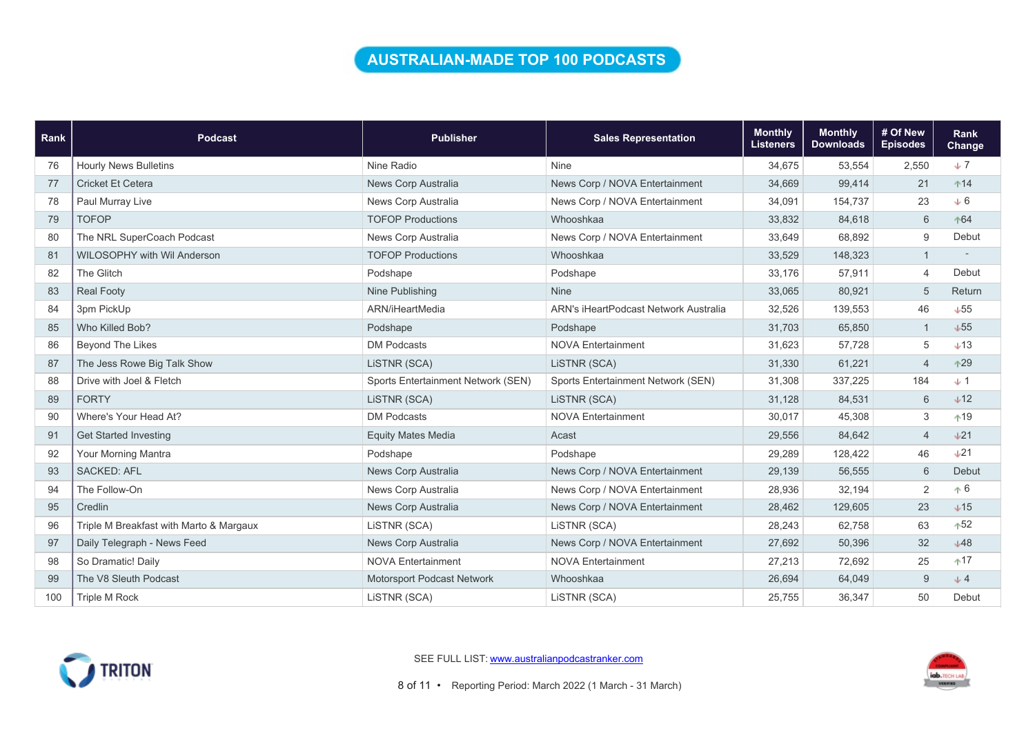## AUSTRALIAN-MADE TOP 100 PODCASTS

| Rank | <b>Podcast</b>                          | <b>Publisher</b>                   | <b>Sales Representation</b>           | <b>Monthly</b><br><b>Listeners</b> | <b>Monthly</b><br><b>Downloads</b> | # Of New<br><b>Episodes</b> | Rank<br><b>Change</b> |
|------|-----------------------------------------|------------------------------------|---------------------------------------|------------------------------------|------------------------------------|-----------------------------|-----------------------|
| 76   | <b>Hourly News Bulletins</b>            | Nine Radio                         | Nine                                  | 34,675                             | 53,554                             | 2,550                       | $\downarrow$ 7        |
| 77   | Cricket Et Cetera                       | News Corp Australia                | News Corp / NOVA Entertainment        | 34,669                             | 99,414                             | 21                          | $+14$                 |
| 78   | Paul Murray Live                        | News Corp Australia                | News Corp / NOVA Entertainment        | 34,091                             | 154,737                            | 23                          | $+6$                  |
| 79   | <b>TOFOP</b>                            | <b>TOFOP Productions</b>           | Whooshkaa                             | 33,832                             | 84,618                             | 6                           | ↑64                   |
| 80   | The NRL SuperCoach Podcast              | News Corp Australia                | News Corp / NOVA Entertainment        | 33,649                             | 68,892                             | 9                           | Debut                 |
| 81   | <b>WILOSOPHY with Wil Anderson</b>      | <b>TOFOP Productions</b>           | Whooshkaa                             | 33,529                             | 148,323                            |                             |                       |
| 82   | The Glitch                              | Podshape                           | Podshape                              | 33,176                             | 57,911                             | $\overline{4}$              | Debut                 |
| 83   | <b>Real Footy</b>                       | Nine Publishing                    | <b>Nine</b>                           | 33,065                             | 80,921                             | 5                           | Return                |
| 84   | 3pm PickUp                              | ARN/iHeartMedia                    | ARN's iHeartPodcast Network Australia | 32,526                             | 139,553                            | 46                          | $+55$                 |
| 85   | Who Killed Bob?                         | Podshape                           | Podshape                              | 31,703                             | 65,850                             |                             | $+55$                 |
| 86   | <b>Beyond The Likes</b>                 | <b>DM Podcasts</b>                 | <b>NOVA Entertainment</b>             | 31,623                             | 57,728                             | 5                           | $+13$                 |
| 87   | The Jess Rowe Big Talk Show             | LISTNR (SCA)                       | LISTNR (SCA)                          | 31,330                             | 61,221                             | $\overline{4}$              | $+29$                 |
| 88   | Drive with Joel & Fletch                | Sports Entertainment Network (SEN) | Sports Entertainment Network (SEN)    | 31,308                             | 337,225                            | 184                         | $+1$                  |
| 89   | <b>FORTY</b>                            | LISTNR (SCA)                       | LISTNR (SCA)                          | 31,128                             | 84,531                             | $6\,$                       | $+12$                 |
| 90   | Where's Your Head At?                   | <b>DM Podcasts</b>                 | <b>NOVA Entertainment</b>             | 30,017                             | 45,308                             | 3                           | $+19$                 |
| 91   | <b>Get Started Investing</b>            | <b>Equity Mates Media</b>          | Acast                                 | 29,556                             | 84,642                             | $\overline{4}$              | $+21$                 |
| 92   | Your Morning Mantra                     | Podshape                           | Podshape                              | 29,289                             | 128,422                            | 46                          | $+21$                 |
| 93   | <b>SACKED: AFL</b>                      | News Corp Australia                | News Corp / NOVA Entertainment        | 29,139                             | 56,555                             | $6\phantom{1}$              | Debut                 |
| 94   | The Follow-On                           | News Corp Australia                | News Corp / NOVA Entertainment        | 28,936                             | 32,194                             | $\sqrt{2}$                  | $\uparrow 6$          |
| 95   | Credlin                                 | News Corp Australia                | News Corp / NOVA Entertainment        | 28,462                             | 129,605                            | 23                          | $+15$                 |
| 96   | Triple M Breakfast with Marto & Margaux | LISTNR (SCA)                       | LiSTNR (SCA)                          | 28,243                             | 62,758                             | 63                          | $+52$                 |
| 97   | Daily Telegraph - News Feed             | News Corp Australia                | News Corp / NOVA Entertainment        | 27,692                             | 50,396                             | 32                          | $+48$                 |
| 98   | So Dramatic! Daily                      | <b>NOVA Entertainment</b>          | <b>NOVA Entertainment</b>             | 27,213                             | 72,692                             | 25                          | $+17$                 |
| 99   | The V8 Sleuth Podcast                   | Motorsport Podcast Network         | Whooshkaa                             | 26,694                             | 64,049                             | 9                           | $+4$                  |
| 100  | Triple M Rock                           | LISTNR (SCA)                       | LiSTNR (SCA)                          | 25,755                             | 36,347                             | 50                          | Debut                 |



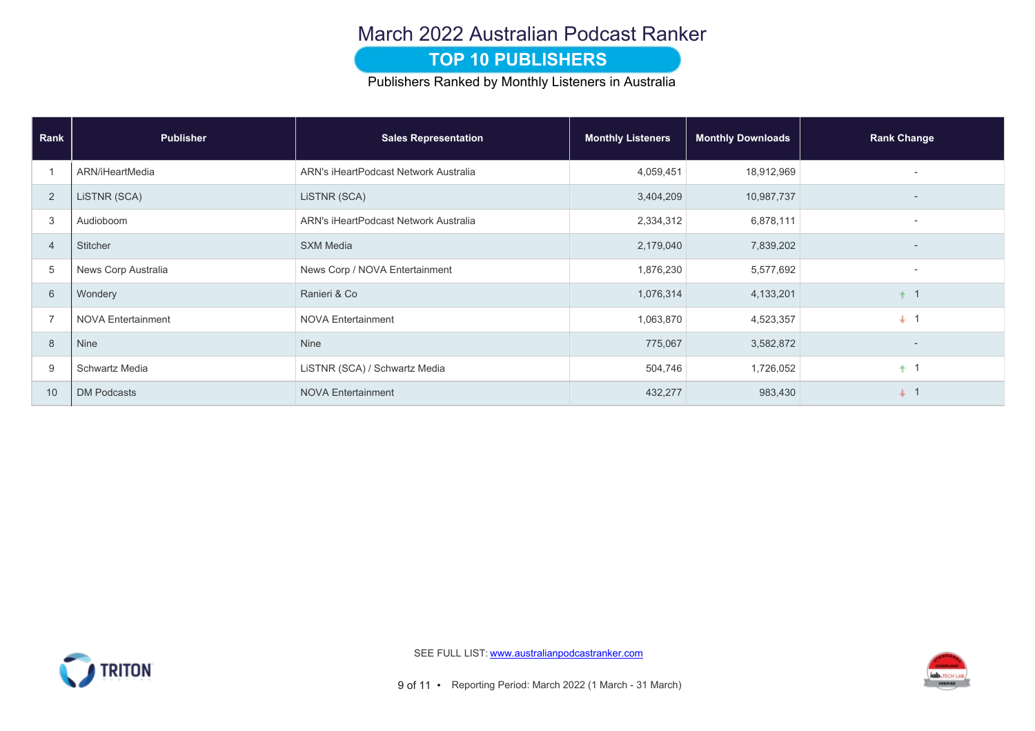### March 2022 Australian Podcast Ranker

#### **TOP 10 PUBLISHERS**

Publishers Ranked by Monthly Listeners in Australia

| Rank           | <b>Publisher</b>          | <b>Sales Representation</b>           | <b>Monthly Listeners</b> | <b>Monthly Downloads</b> | <b>Rank Change</b>       |
|----------------|---------------------------|---------------------------------------|--------------------------|--------------------------|--------------------------|
|                | ARN/iHeartMedia           | ARN's iHeartPodcast Network Australia | 4,059,451                | 18,912,969               |                          |
| 2              | LISTNR (SCA)              | LISTNR (SCA)                          | 3,404,209                | 10,987,737               |                          |
| 3              | Audioboom                 | ARN's iHeartPodcast Network Australia | 2,334,312                | 6,878,111                | $\overline{\phantom{0}}$ |
| $\overline{4}$ | Stitcher                  | <b>SXM Media</b>                      | 2,179,040                | 7,839,202                | $\overline{\phantom{0}}$ |
| 5              | News Corp Australia       | News Corp / NOVA Entertainment        | 1,876,230                | 5,577,692                | $\overline{\phantom{0}}$ |
| 6              | Wondery                   | Ranieri & Co                          | 1,076,314                | 4,133,201                | $\overline{1}$           |
| $\overline{7}$ | <b>NOVA Entertainment</b> | <b>NOVA Entertainment</b>             | 1,063,870                | 4,523,357                | $+$ 1                    |
| 8              | Nine                      | Nine                                  | 775,067                  | 3,582,872                |                          |
| 9              | Schwartz Media            | LiSTNR (SCA) / Schwartz Media         | 504,746                  | 1,726,052                | $+1$                     |
| 10             | <b>DM Podcasts</b>        | <b>NOVA Entertainment</b>             | 432,277                  | 983,430                  | $+$ 1                    |



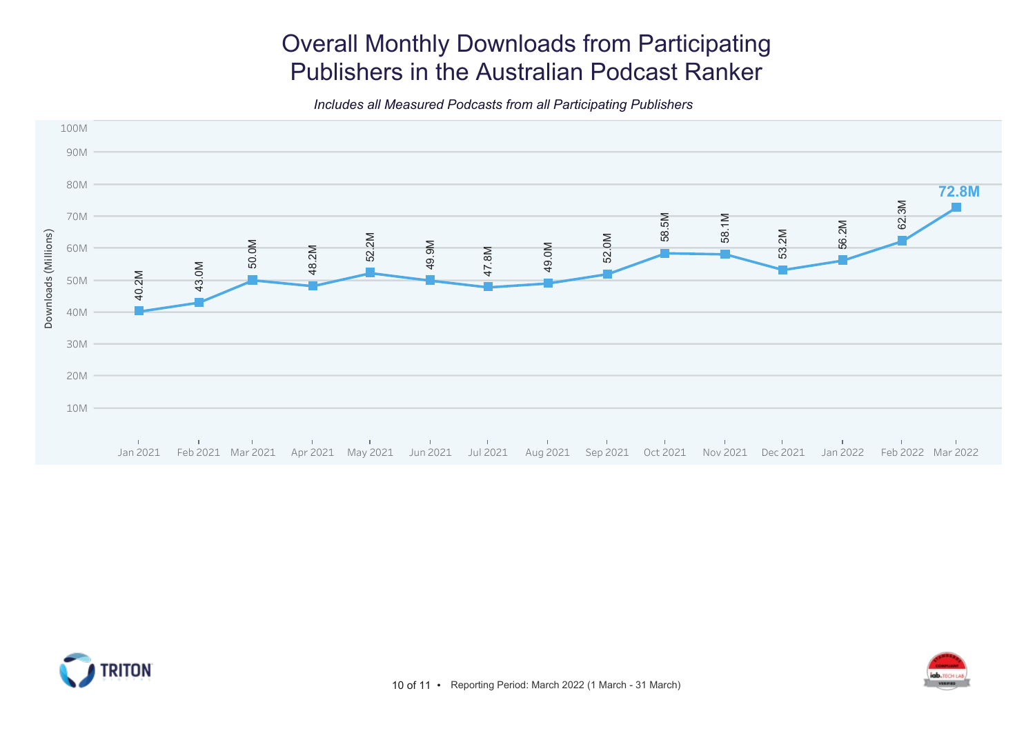# Overall Monthly Downloads from Participating Publishers in the Australian Podcast Ranker

Includes all Measured Podcasts from all Participating Publishers